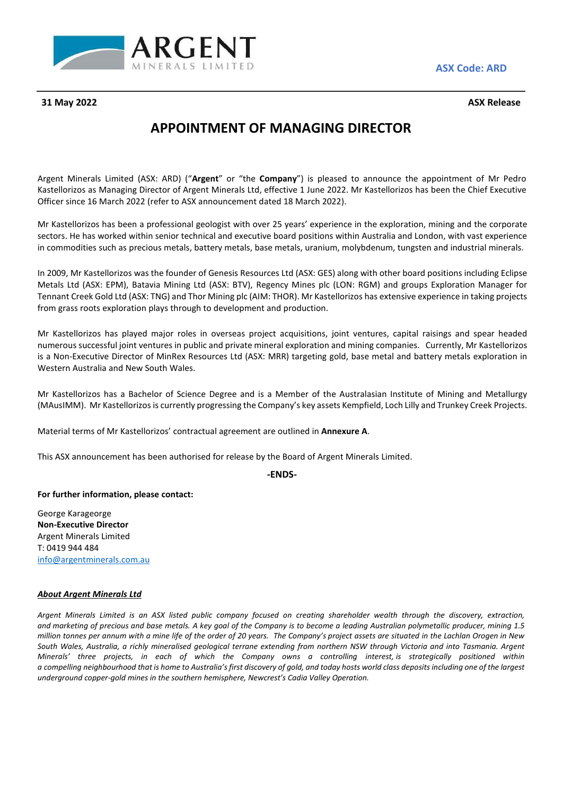

31 May 2022

**Code: ARD**

## Minerals Limited (ASX: ARD) ("**Argent**" or "the **Company**") is pleased to announce the appointment of Mr Pedro **OF MANAGING DIRECTOR**

**APPOINTMENT OF MANAGING DIRECTOR**<br>The Limited (ASX: ARD) ("Argent" or "the Company") is pleased to announce the appointment of Mr Pedro<br>The Managing Director of Argent Minerals Ltd. effective 1 June 2022. Mr Kastellorizos **APPOINTMENT OF MANAGING DII**<br>Argent Minerals Limited (ASX: ARD) ("**Argent**" or "the **Company**") is pleased to<br>Kastellorizos as Managing Director of Argent Minerals Ltd, effective 1 June 2022. Mr<br>Officer since 16 March 202 ent Minerals Limited (ASX: ARD) ("**Argent**" or "the **Company**") is pleased to announce the appointment of Mr Pedro<br>tellorizos as Managing Director of Argent Minerals Ltd, effective 1 June 2022. Mr Kastellorizos has been th Minerals Limited (ASX: ARD) ("**Argent**" or "the **Company**") is pleased to announce the appointment of Mr Pedro<br>izos as Managing Director of Argent Minerals Ltd, effective 1 June 2022. Mr Kastellorizos has been the Chief Ex Argent Minerals Limited (ASX: ARD) ("**Argent**" or "the **Company**") is pleased to announce the appointment of Mr Pedro<br>Kastellorizos as Managing Director of Argent Minerals Ltd, effective 1 June 2022. Mr Kastellorizos has b Officer since 16 March 2022 (refer to ASX announcement dated 18 March 2022).

ficer since 16 March 2022 (refer to ASX announcement dated 18 March 2022).<br>2015 r Kastellorizos has been a professional geologist with over 25 years' experience in the exploration, mining and the corporate<br>2005. He has wor ellorizos has been a professional geologist with over 25 years' experience in the exploration, mining and the corporate<br>He has worked within senior technical and executive board positions within Australia and London, with Mr Kastellorizos has been a professional geologist with over 25 years' experience in the exploration, mining and the corporate :llorizos has been a professional geologist with over 25 years' experience in the exploration, mining and the corporate<br>He has worked within senior technical and executive board positions within Australia and London, with sectors. He has worked within senior technical and executive board positions within Australia and London, with vast experience

sectors. He has worked within senior technical and executive board positions with commodities such as precious metals, battery metals, base metals, uranium, n<br>In 2009, Mr Kastellorizos was the founder of Genesis Resources 009, Mr Kastellorizos was the founder of Genesis Resources Ltd (ASX: GES) along with other board positions including Eclipse<br>als Ltd (ASX: EPM), Batavia Mining Ltd (ASX: BTV), Regency Mines plc (LON: RGM) and groups Explor In 2009, M r Kastellorizos was the founder of Genesis Resources Ltd (ASX: GES) along with other board positions including Eclipse<br>
(ASX: EPM), Batavia Mining Ltd (ASX: BTV), Regency Mines plc (LON: RGM) and groups Exploration Manager Metals Ltd (ASX: EPM), Batavia Mining Ltd (ASX: BTV), Regency Mines plc (LON: RGM) and groups Exploration Manager for<br>Tennant Creek Gold Ltd (ASX: TNG) and Thor Mining plc (AIM: THOR). Mr Kastellorizos has extensive experi Tennant Creek Gold Ltd (ASX: TNG) and Thor Mining plc (AIM: THOR). Mr Kastellorizos has extensive experience in taking projects

from grass roots exploration plays through to development and production.<br>Mr Kastellorizos has played major roles in overseas project acquisitions, joint ventures, capital raisings and spear headed<br>numerous successful join Kastellorizos has played major roles in overseas project acquisitions, joint ventures, capital raisings and spear headed<br>nerous successful joint ventures in public and private mineral exploration and mining companies. Curr Mr Kastellorizos has played major roles in overseas project acquisitions, joint ventures, capital raisings and spear headed Mr Kastellorizos has played major roles in overseas project acquisitions, joint ventures, capital raisings and spear headed<br>numerous successful joint ventures in public and private mineral exploration and mining companies.

is a Non-Executive Director of MinRex Resources Ltd (ASX: MRR) targeting gold, base metal<br>Western Australia and New South Wales.<br>Mr Kastellorizos has a Bachelor of Science Degree and is a Member of the Australasian II<br>(MAu Kastellorizos has a Bachelor of Science Degree and is a Member of the Australasian Institute c<br>
usIMM). Mr Kastellorizos is currently progressing the Company's key assets Kempfield, Loch Lilly an<br>
Perial terms of Mr Kastel

**Foreignal finally Material terms of Mr Kastellorizos' contractual agreement are outlined in<br>
<b>This ASX announcement has been authorised for release by the Board of A**<br> **-ENDS-**<br> **For further information, please contact:** 

*(announcement has*<br>her information, ple<br>Karageorge **This ACV annou** and the

## info@argentminerals.com.au

**ncement has b<br>prmation, pleas<br>prge<br><b>Director** Mannoancement has seen<br>ther information, please c<br>Karageorge<br>ecutive Director<br>Minerals Limited r further information,<br>eorge Karageorge<br>on-Executive Director<br>gent Minerals Limited<br>0419 944 484 **George Karageorge <br><b>Non-Executive Director** *Argentive Director*<br> *Argent Minerals Limited*<br> *Argent minerals.com.au*<br> *Argent Minerals Ltd* T: 0419 944 484

## *Mineralsía*

T: 0419 944 484<br><u>info@argentminerals.com.au</u><br>About Argent Minerals Ltd<br>Araent Minerals Limited is an ASX listed public company focused on creatina shareholder wealth throuah the discovery. extraction. info@argentminerals.com.au<br>**About Argent Minerals Ltd**<br>Argent Minerals Limited is an ASX listed public company focused on creating shareholder wealth through the discovery, extraction, and marketing of precious and base metals. A key goal of the Company is to become a leading Australian polymetallic producer, mining 1.5 million tonnes per annum with a mine life of the order of 20 years. The Company's project assets are situated in the Lachlan Orogen in New **ent Minerals Ltd**<br>perals Limited is an ASX listed public company focused on creating shareholder wealth through the discovery, extraction,<br>ing of precious and base metals. A key goal of the Company is to become a leading Argent Minerals Limited is an ASX listed public company focused on creating shareholder wealth through the discovery, extraction,<br>and marketing of precious and base metals. A key goal of the Company is to become a leading rals Limited is an ASX listed public company focused on creating shareholder we<br>g of precious and base metals. A key goal of the Company is to become a leading Aust<br>s per annum with a mine life of the order of 20 years. Th